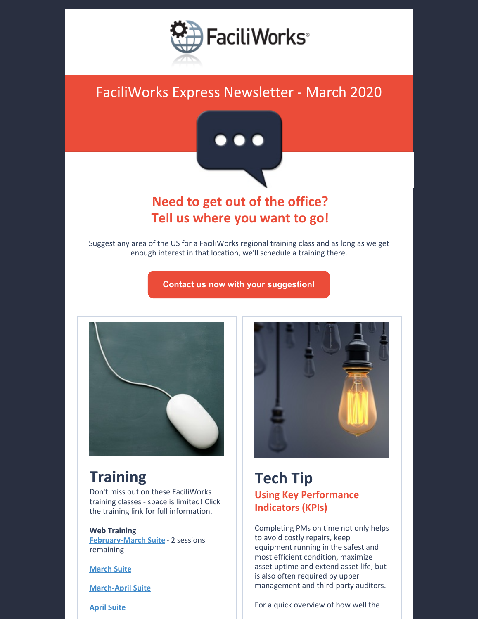

# FaciliWorks Express Newsletter - March 2020



### **Need to get out of the office? Tell us where you want to go!**

Suggest any area of the US for a FaciliWorks regional training class and as long as we get enough interest in that location, we'll schedule a training there.

**Contact us now with your [suggestion!](mailto:training@cybermetrics.com?subject=FaciliWorks Regional Training Location Suggestion&body=Where do you want to go?)**



# **Training**

Don't miss out on these FaciliWorks training classes - space is limited! Click the training link for full information.

**Web Training [February-March](https://faciliworks.com/wp-content/uploads/FaciliWorks_8i_Web_Training_Suite_Feb-March_2020.pdf) Suite** - 2 sessions remaining

**[March](https://faciliworks.com/wp-content/uploads/FaciliWorks_8i_Web_Training_Suite_March_2020.pdf) Suite**

**[March-April](https://faciliworks.com/wp-content/uploads/FaciliWorks_8i_Web_Training_Suite_March-April_2020.pdf) Suite**

**April [Suite](https://faciliworks.com/wp-content/uploads/FaciliWorks_8i_Web_Training_Suite_April_2020.pdf)**



#### **Tech Tip Using Key Performance Indicators (KPIs)**

Completing PMs on time not only helps to avoid costly repairs, keep equipment running in the safest and most efficient condition, maximize asset uptime and extend asset life, but is also often required by upper management and third-party auditors.

For a quick overview of how well the